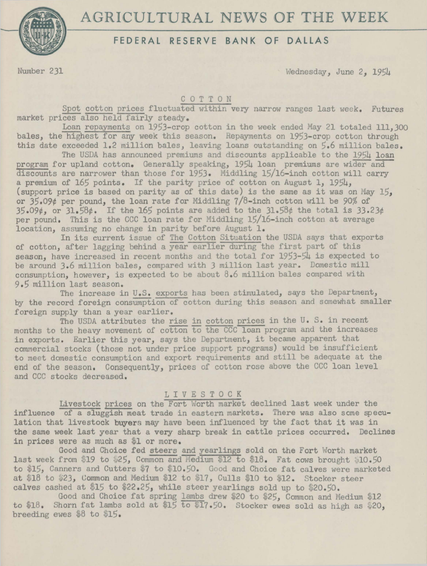

# AGRICULTURAL NEWS OF THE WEEK

# FEDERAL RESERVE BANK OF DALLAS

Number 231 Wednesday, June 2, 1954

#### C O T T O N

Spot cotton prices fluctuated within very narrow ranges last week. Futures market prices-also held fairly steady.

Loan repayments on 1953-crop cotton in the week ended May 21 totaled 111,300 bales, the highest for any week this season. Repayments on 1953-crop cotton through this date exceeded 1.2 million bales, leaving loans outstanding on *5.6* million bales.

The USDA has announced premiums and discounts applicable to the 1954 loan program for upland cotton. Generally speaking, 1954 loan premiums are wider and discounts are narrower than those for 1953. Middling 15/16-inch cotton will carry a premium of 165 points. If the parity price of cotton on August 1, 1954,<br>(support price is based on parity as of this date) is the same as it was on May 15. or  $35.09t$  per pound, the loan rate for Middling 7/8-inch cotton will be 90% of 35 . 09¢, or 31. 58¢. If the 165 points are added to the 31.58¢ the total is 33.23¢ per pound. This is the CCC loan rate for Middling 15/16-inch cotton at average location, assuming no change in parity before August 1.

In its current issue of The Cotton Situation the USDA says that exports of cotton, after lagging behind a year earlier during the first part of this season, have increased in recent months and the total for 1953-54 is expected to be around 3.6 million bales, compared with 3 million last year. Domestic mill consumption, however, is expected to be about  $8.6$  million bales compared with 9.5 million last season.

The increase in U.S. exports has been stimulated, says the Department, by the record foreign consumption of cotton during this season and somewhat smaller foreign supply than a year earlier.

The USDA attributes the rise in cotton prices in the U.S. in recent months to the heavy movement of cotton to the CCC loan program and the increases in exports. Earlier this year, says the Department, it became apparent that commercial stocks (those not under price support programs) would be insufficient to meet domestic consumption and export requirements and still be adequate at the end of the season. Consequently, prices of cotton rose above the CCC loan level and CCC stocks decreased.

#### L I V E S T 0 C K

Livestock prices on the Fort Worth market declined last week under the influence of a sluggish meat trade in eastern markets. There was also some speculation that livestock buyers may have been influenced by the fact that it was in the same week last year that a very sharp break in cattle prices occurred. Declines in prices were as much as \$1 or more.

Good and Choice fed steers and yearlings sold on the Fort Worth market last week from \$19 to \$25, Common and Medium \$12 to \$18. Fat cows brought \$10.50 to \$15, Canners and Cutters \$7 to \$10.50. Good and Choice fat calves were marketed at \$18 to \$23, Common and Medium \$12 to \$17, Culls \$10 to \$12. Stocker steer calves cashed at \$15 to \$22.25, while steer yearlings sold up to \$20.50.

Good and Choice fat spring lambs drew \$20 to \$25, Common and Medium \$12 to \$18. Shorn fat lambs sold at \$15 to \$17.50. Stocker ewes sold as high as \$20, breeding ewes  $$8$  to  $$15.$